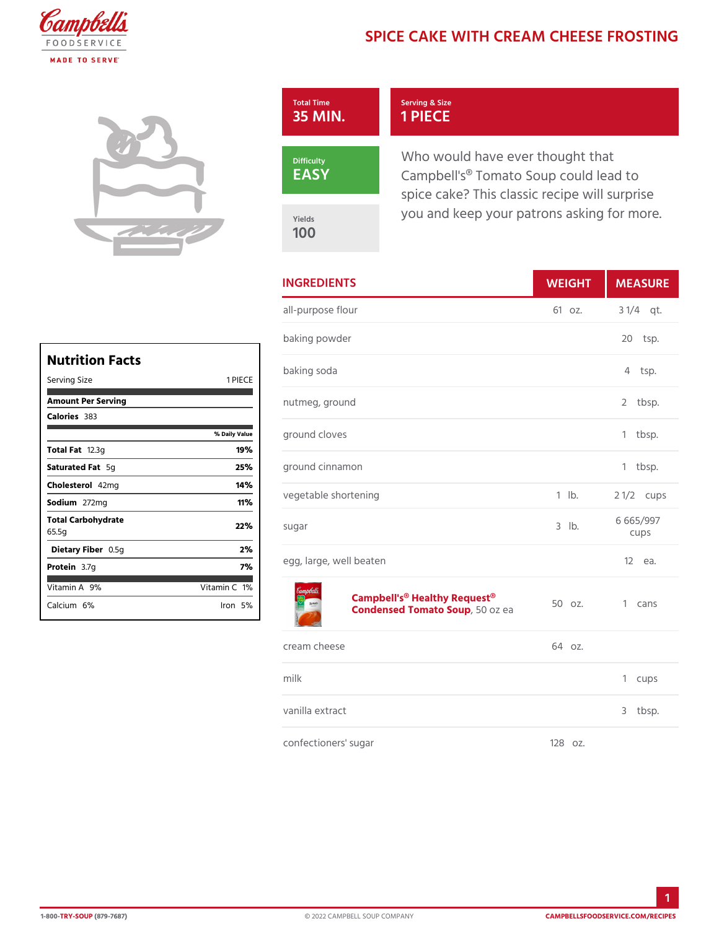## SPICE CAKE WITH CREAM CHE

| Total Time<br>35 MIN. | Serving & Size<br>1 PIECE                                                                                      |  |
|-----------------------|----------------------------------------------------------------------------------------------------------------|--|
| Difficulty<br>EASY    | Who would have ever thought th<br>Campbell's <sup>®</sup> Tomato Soup could<br>spice cake? This classic recipe |  |
| Yields<br>1 O O       | you and keep your patrons aski                                                                                 |  |

|            | <b>INGREDIENTS</b>      | WEIGH      | MEASU             |
|------------|-------------------------|------------|-------------------|
| C E<br>lue | all-purpose flour       |            | 61 oz. 3 1/4 qt.  |
|            | baking powder           |            | $20$ tsp.         |
|            | baking soda             |            | 4 tsp.            |
|            | nutmeg, ground          |            | 2 tbsp.           |
|            | ground cloves           |            | 1 tbsp.           |
|            | ground cinnamon         |            | 1 tbsp.           |
|            | vegetable shortening    | $1$ $1b$ . | 2 $1/2c$ ups      |
|            | sugar                   | $3$ $1b$ . | 6 665/997<br>cups |
|            | egg, large, well beaten |            | $12$ ea.          |
|            |                         |            |                   |

## [Campbell's® Health](https://www.campbellsfoodservice.com/product/campbells-classic-condensed-healthy-request-tomato-soup)y Request®<br>Condensed Tomat50Sozupea 50 oz. 1 cans

| cream cheese         | 64 oz.    |         |
|----------------------|-----------|---------|
| milk                 |           | 1 cups  |
| vanilla extract      |           | 3 tbsp. |
| confectioners' sugar | $1280z$ . |         |

| Nutrition Facts             |                     |
|-----------------------------|---------------------|
| Serving Size                | 1 PIECE             |
| Amount Per Serving          |                     |
| Calorie3s33                 |                     |
|                             | % Daily Value       |
| Total Fa2.3g                | 19%                 |
| Saturated 5Foat             | 25%                 |
| Choleste4o2lmg              | 14%                 |
| Sodium272mg                 | 11%                 |
| Total Carbohydrate<br>65.5g | 22%                 |
| Dietary F0ib5egn            | 2%                  |
| Protei <b>a</b> .7g         | 7%                  |
| Vitamin9A%                  | Vitamin1 <b>C</b> 6 |
| $C$ alcium $2\%$            | lron 5%l            |

 $\mathsf{r}$